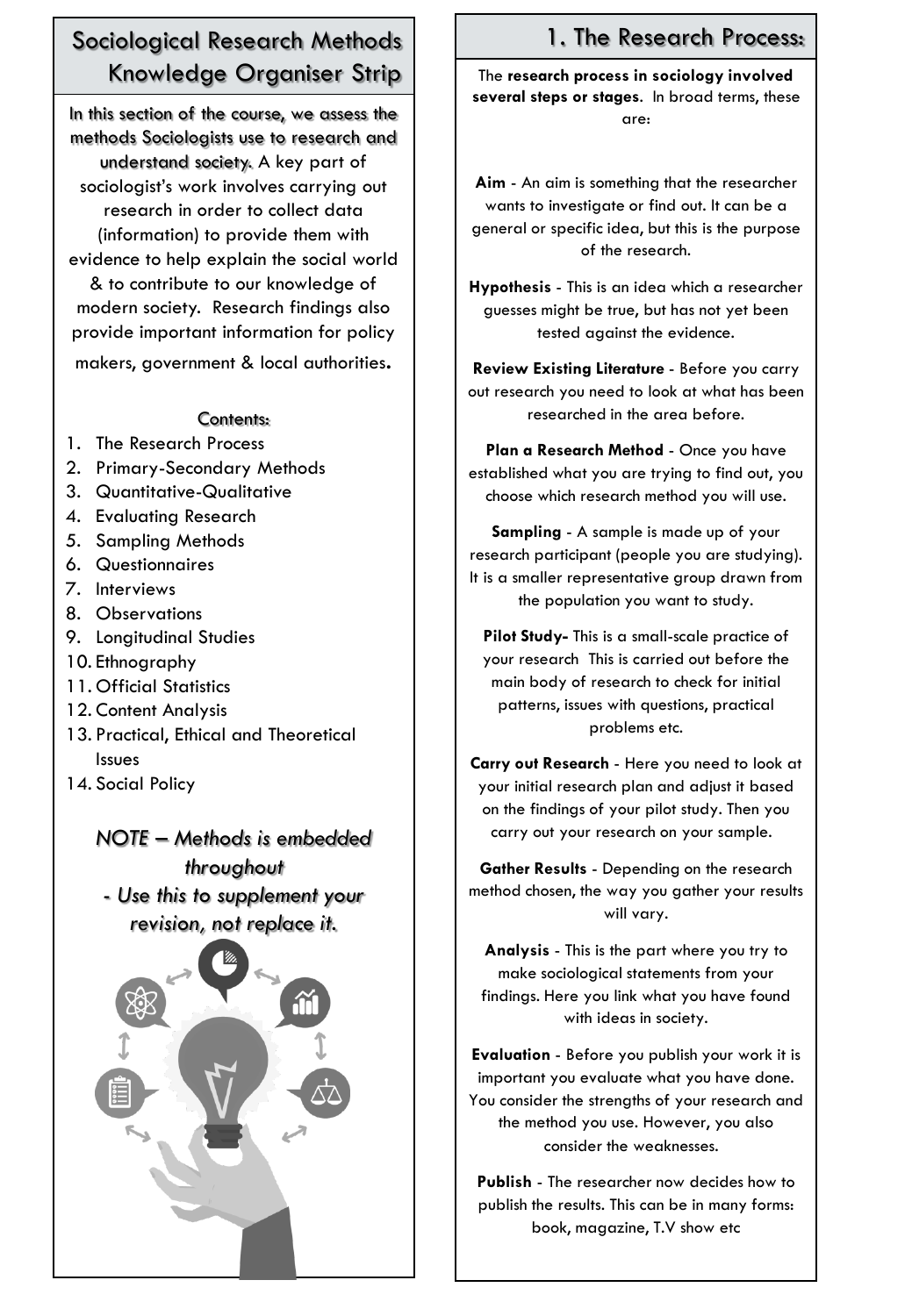# Sociological Research Methods Knowledge Organiser Strip

In this section of the course, we assess the methods Sociologists use to research and understand society. A key part of sociologist's work involves carrying out research in order to collect data (information) to provide them with evidence to help explain the social world & to contribute to our knowledge of modern society. Research findings also provide important information for policy makers, government & local authorities.

#### Contents:

- 1. The Research Process
- 2. Primary-Secondary Methods
- 3. Quantitative-Qualitative
- 4. Evaluating Research
- 5. Sampling Methods
- 6. Questionnaires
- 7. Interviews
- 8. Observations
- 9. Longitudinal Studies
- 10. Ethnography
- 11. Official Statistics
- 12. Content Analysis
- 13. Practical, Ethical and Theoretical Issues
- 14. Social Policy

*NOTE – Methods is embedded throughout*

*- Use this to supplement your revision, not replace it.*



# 1. The Research Process:

The **research process in sociology involved several steps or stages**. In broad terms, these are:

**Aim** - An aim is something that the researcher wants to investigate or find out. It can be a general or specific idea, but this is the purpose of the research.

**Hypothesis** - This is an idea which a researcher guesses might be true, but has not yet been tested against the evidence.

**Review Existing Literature** - Before you carry out research you need to look at what has been researched in the area before.

**Plan a Research Method** - Once you have established what you are trying to find out, you choose which research method you will use.

**Sampling** - A sample is made up of your research participant (people you are studying). It is a smaller representative group drawn from the population you want to study.

**Pilot Study-** This is a small-scale practice of your research This is carried out before the main body of research to check for initial patterns, issues with questions, practical problems etc.

**Carry out Research** - Here you need to look at your initial research plan and adjust it based on the findings of your pilot study. Then you carry out your research on your sample.

**Gather Results** - Depending on the research method chosen, the way you gather your results will vary.

**Analysis** - This is the part where you try to make sociological statements from your findings. Here you link what you have found with ideas in society.

**Evaluation** - Before you publish your work it is important you evaluate what you have done. You consider the strengths of your research and the method you use. However, you also consider the weaknesses.

**Publish** - The researcher now decides how to publish the results. This can be in many forms: book, magazine, T.V show etc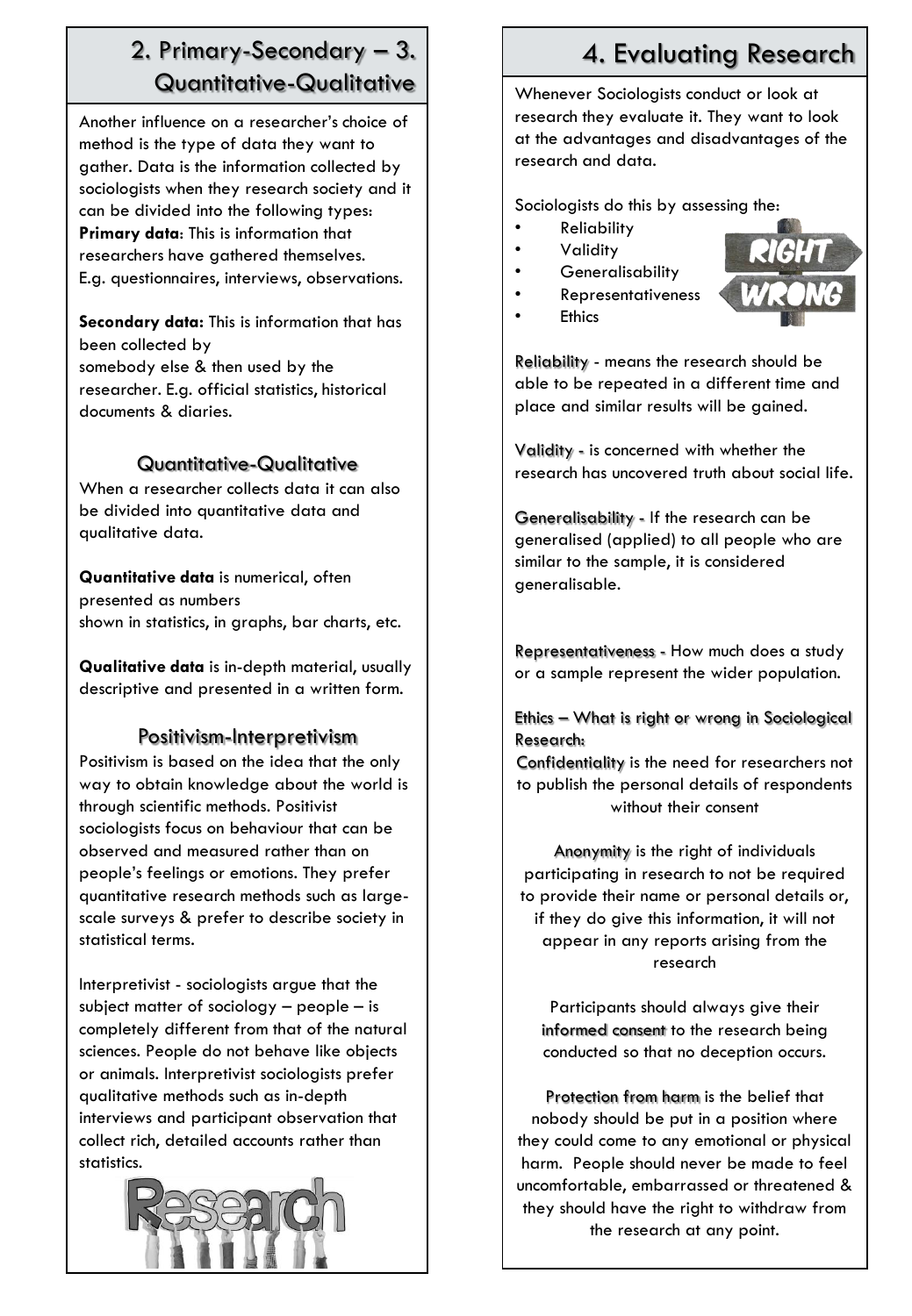# 2. Primary-Secondary – 3. Quantitative-Qualitative

Another influence on a researcher's choice of method is the type of data they want to gather. Data is the information collected by sociologists when they research society and it can be divided into the following types: **Primary data**: This is information that researchers have gathered themselves. E.g. questionnaires, interviews, observations.

**Secondary data:** This is information that has been collected by somebody else & then used by the researcher. E.g. official statistics, historical documents & diaries.

## Quantitative-Qualitative

When a researcher collects data it can also be divided into quantitative data and qualitative data.

**Quantitative data** is numerical, often presented as numbers shown in statistics, in graphs, bar charts, etc.

**Qualitative data** is in-depth material, usually descriptive and presented in a written form.

## Positivism-Interpretivism

Positivism is based on the idea that the only way to obtain knowledge about the world is through scientific methods. Positivist sociologists focus on behaviour that can be observed and measured rather than on people's feelings or emotions. They prefer quantitative research methods such as largescale surveys & prefer to describe society in statistical terms.

Interpretivist - sociologists argue that the subject matter of sociology – people – is completely different from that of the natural sciences. People do not behave like objects or animals. Interpretivist sociologists prefer qualitative methods such as in-depth interviews and participant observation that collect rich, detailed accounts rather than statistics.



# 4. Evaluating Research

Whenever Sociologists conduct or look at research they evaluate it. They want to look at the advantages and disadvantages of the research and data.

Sociologists do this by assessing the:

- Reliability
- Validity
- **Generalisability**
- Representativeness



**Ethics** 

Reliability - means the research should be able to be repeated in a different time and place and similar results will be gained.

Validity - is concerned with whether the research has uncovered truth about social life.

Generalisability - If the research can be generalised (applied) to all people who are similar to the sample, it is considered generalisable.

Representativeness - How much does a study or a sample represent the wider population.

Ethics – What is right or wrong in Sociological Research:

Confidentiality is the need for researchers not to publish the personal details of respondents without their consent

Anonymity is the right of individuals participating in research to not be required to provide their name or personal details or, if they do give this information, it will not appear in any reports arising from the research

Participants should always give their informed consent to the research being conducted so that no deception occurs.

Protection from harm is the belief that nobody should be put in a position where they could come to any emotional or physical harm. People should never be made to feel uncomfortable, embarrassed or threatened & they should have the right to withdraw from the research at any point.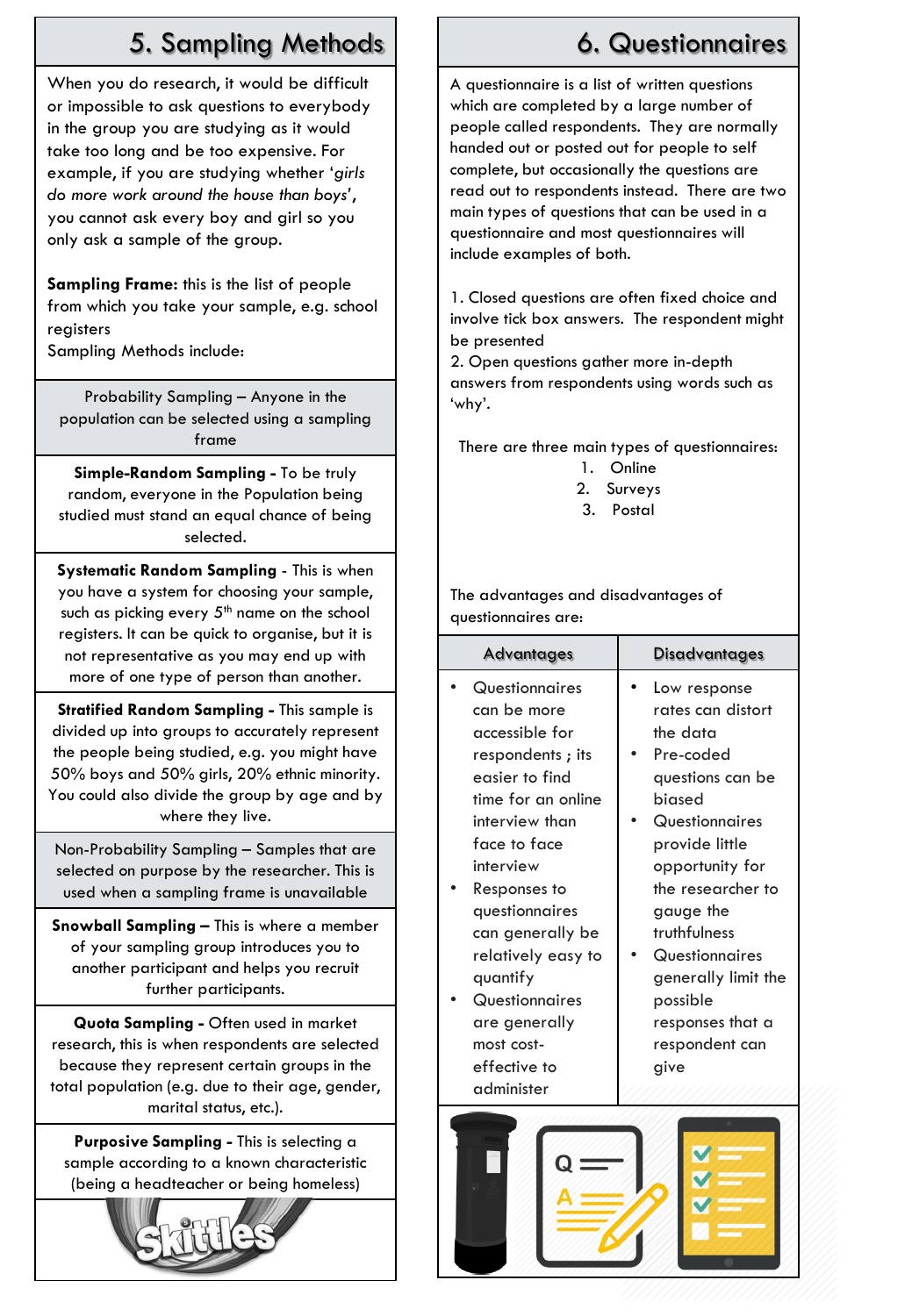# 5. Sampling Methods

When you do research, it would be difficult or impossible to ask questions to everybody in the group you are studying as it would take too long and be too expensive. For example, if you are studying whether '*girls do more work around the house than boys'*, you cannot ask every boy and girl so you only ask a sample of the group.

**Sampling Frame:** this is the list of people from which you take your sample, e.g. school registers

Sampling Methods include:

Probability Sampling – Anyone in the population can be selected using a sampling frame

**Simple-Random Sampling -** To be truly random, everyone in the Population being studied must stand an equal chance of being selected.

**Systematic Random Sampling** - This is when you have a system for choosing your sample, such as picking every  $5<sup>th</sup>$  name on the school registers. It can be quick to organise, but it is not representative as you may end up with more of one type of person than another.

**Stratified Random Sampling -** This sample is divided up into groups to accurately represent the people being studied, e.g. you might have 50% boys and 50% girls, 20% ethnic minority. You could also divide the group by age and by where they live.

Non-Probability Sampling – Samples that are selected on purpose by the researcher. This is used when a sampling frame is unavailable

**Snowball Sampling –** This is where a member of your sampling group introduces you to another participant and helps you recruit further participants.

**Quota Sampling -** Often used in market research, this is when respondents are selected because they represent certain groups in the total population (e.g. due to their age, gender, marital status, etc.).

**Purposive Sampling -** This is selecting a sample according to a known characteristic (being a headteacher or being homeless)



# 6. Questionnaires

A questionnaire is a list of written questions which are completed by a large number of people called respondents. They are normally handed out or posted out for people to self complete, but occasionally the questions are read out to respondents instead. There are two main types of questions that can be used in a questionnaire and most questionnaires will include examples of both.

1. Closed questions are often fixed choice and involve tick box answers. The respondent might be presented

2. Open questions gather more in-depth answers from respondents using words such as 'why'.

There are three main types of questionnaires:

- 1. Online
- 2. Surveys
- 3. Postal

The advantages and disadvantages of questionnaires are:

| <b>Advantages</b>                                                                                                                                          | Disadvantages                                                                                                                                     |
|------------------------------------------------------------------------------------------------------------------------------------------------------------|---------------------------------------------------------------------------------------------------------------------------------------------------|
| Questionnaires<br>can be more<br>accessible for<br>respondents; its<br>easier to find<br>time for an online<br>interview than<br>face to face<br>interview | Low response<br>rates can distort<br>the data<br>Pre-coded<br>questions can be<br>hiased<br>Questionnaires<br>provide little<br>opportunity for   |
| Responses to<br>questionnaires<br>can generally be<br>relatively easy to<br>quantify<br>Questionnaires<br>are generally<br>most cost-<br>effective to      | the researcher to<br>gauge the<br>truthfulness<br>Questionnaires<br>generally limit the<br>possible<br>responses that a<br>respondent can<br>give |
| administer                                                                                                                                                 |                                                                                                                                                   |

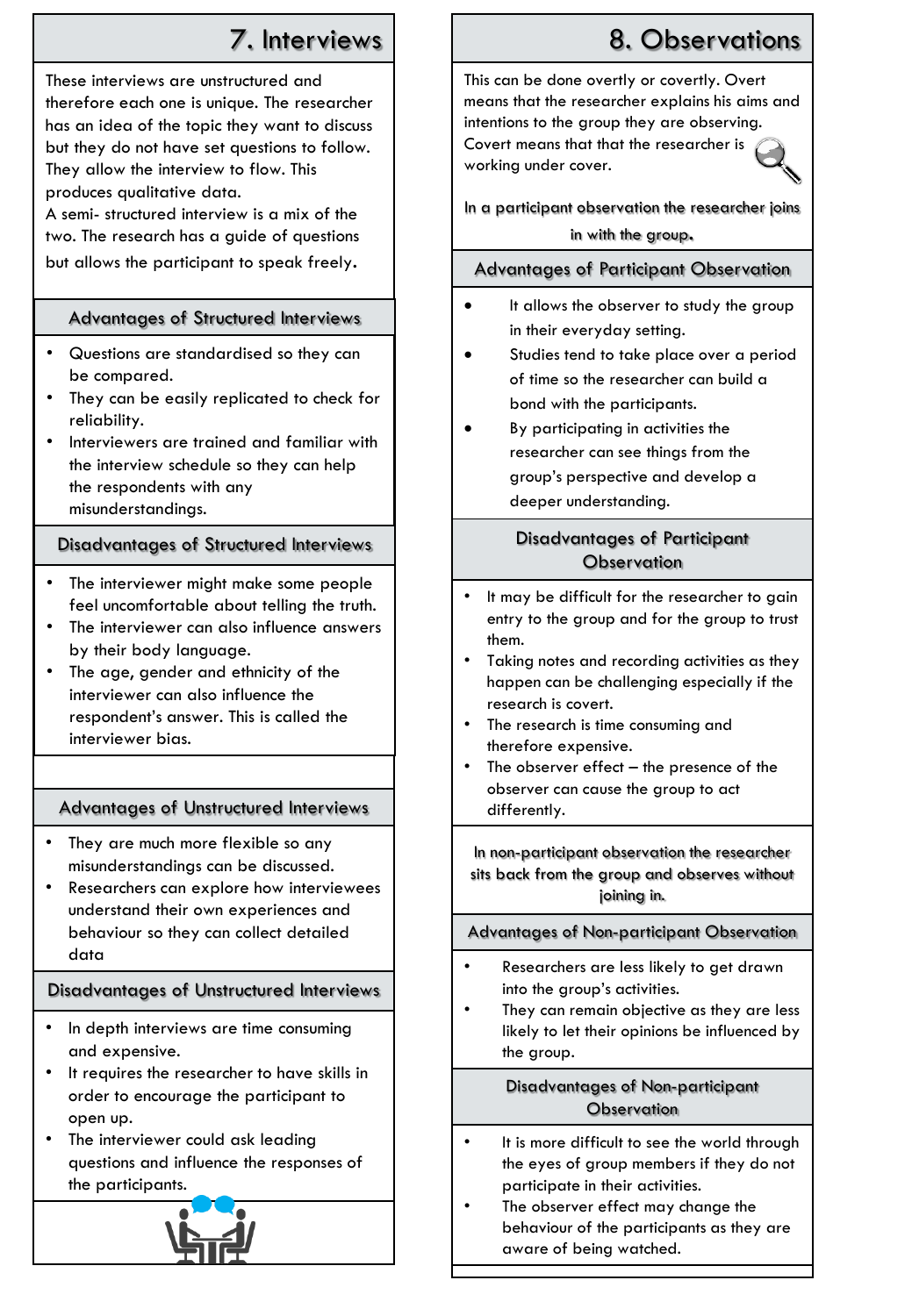# 7. Interviews

These interviews are unstructured and therefore each one is unique. The researcher has an idea of the topic they want to discuss but they do not have set questions to follow. They allow the interview to flow. This produces qualitative data.

A semi- structured interview is a mix of the two. The research has a guide of questions but allows the participant to speak freely.

## Advantages of Structured Interviews

- Questions are standardised so they can be compared.
- They can be easily replicated to check for reliability.
- Interviewers are trained and familiar with the interview schedule so they can help the respondents with any misunderstandings.

### Disadvantages of Structured Interviews

- The interviewer might make some people feel uncomfortable about telling the truth.
- The interviewer can also influence answers by their body language.
- The age, gender and ethnicity of the interviewer can also influence the respondent's answer. This is called the interviewer bias.

## Advantages of Unstructured Interviews

- They are much more flexible so any misunderstandings can be discussed.
- Researchers can explore how interviewees understand their own experiences and behaviour so they can collect detailed data

## Disadvantages of Unstructured Interviews

- In depth interviews are time consuming and expensive.
- It requires the researcher to have skills in order to encourage the participant to open up.
- The interviewer could ask leading questions and influence the responses of the participants.



# 8. Observations

This can be done overtly or covertly. Overt means that the researcher explains his aims and intentions to the group they are observing. Covert means that that the researcher is working under cover.

In a participant observation the researcher joins in with the group.

#### Advantages of Participant Observation

- It allows the observer to study the group in their everyday setting.
- Studies tend to take place over a period of time so the researcher can build a bond with the participants.
- By participating in activities the researcher can see things from the group's perspective and develop a deeper understanding.

## Disadvantages of Participant **Observation**

- It may be difficult for the researcher to gain entry to the group and for the group to trust them.
- Taking notes and recording activities as they happen can be challenging especially if the research is covert.
- The research is time consuming and therefore expensive.
- The observer effect  $-$  the presence of the observer can cause the group to act differently.

In non-participant observation the researcher sits back from the group and observes without joining in.

#### Advantages of Non-participant Observation

- Researchers are less likely to get drawn into the group's activities.
- They can remain objective as they are less likely to let their opinions be influenced by the group.

#### Disadvantages of Non-participant **Observation**

- It is more difficult to see the world through the eyes of group members if they do not participate in their activities.
- The observer effect may change the behaviour of the participants as they are aware of being watched.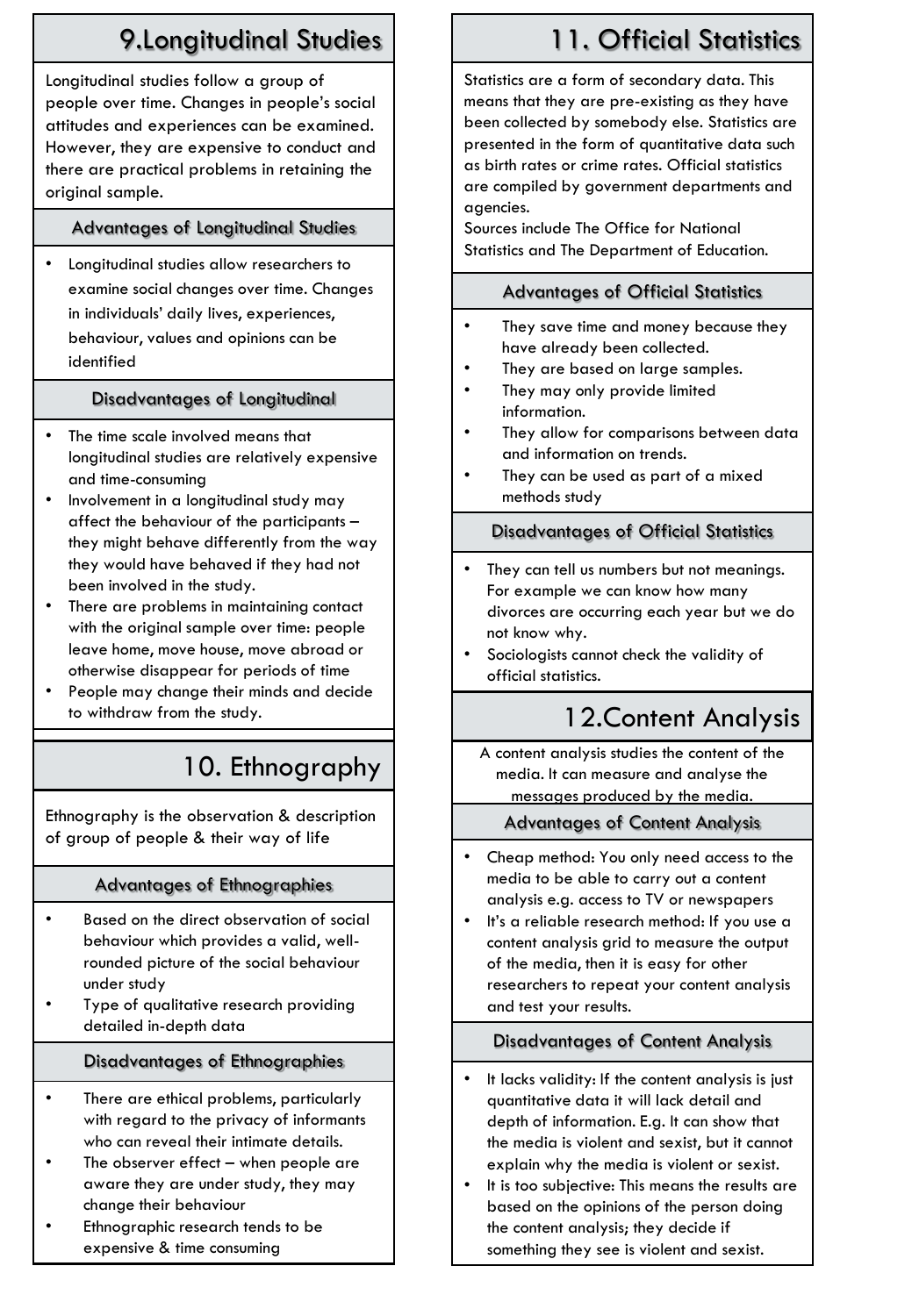# 9.Longitudinal Studies

Longitudinal studies follow a group of people over time. Changes in people's social attitudes and experiences can be examined. However, they are expensive to conduct and there are practical problems in retaining the original sample.

## Advantages of Longitudinal Studies

• Longitudinal studies allow researchers to examine social changes over time. Changes in individuals' daily lives, experiences, behaviour, values and opinions can be identified

# Disadvantages of Longitudinal

- The time scale involved means that longitudinal studies are relatively expensive and time-consuming
- Involvement in a longitudinal study may affect the behaviour of the participants – they might behave differently from the way they would have behaved if they had not been involved in the study.
- There are problems in maintaining contact with the original sample over time: people leave home, move house, move abroad or otherwise disappear for periods of time
- People may change their minds and decide to withdraw from the study.

# 10. Ethnography

Ethnography is the observation & description of group of people & their way of life

## Advantages of Ethnographies

- Based on the direct observation of social behaviour which provides a valid, wellrounded picture of the social behaviour under study
- Type of qualitative research providing detailed in-depth data

# Disadvantages of Ethnographies

- There are ethical problems, particularly with regard to the privacy of informants who can reveal their intimate details.
- The observer effect  $-$  when people are aware they are under study, they may change their behaviour
- Ethnographic research tends to be expensive & time consuming

# 11. Official Statistics

Statistics are a form of secondary data. This means that they are pre-existing as they have been collected by somebody else. Statistics are presented in the form of quantitative data such as birth rates or crime rates. Official statistics are compiled by government departments and agencies.

Sources include The Office for National Statistics and The Department of Education.

## Advantages of Official Statistics

- They save time and money because they have already been collected.
- They are based on large samples.
- They may only provide limited information.
- They allow for comparisons between data and information on trends.
- They can be used as part of a mixed methods study

## Disadvantages of Official Statistics

- They can tell us numbers but not meanings. For example we can know how many divorces are occurring each year but we do not know why.
- Sociologists cannot check the validity of official statistics.

# 12.Content Analysis

A content analysis studies the content of the media. It can measure and analyse the messages produced by the media.

## Advantages of Content Analysis

- Cheap method: You only need access to the media to be able to carry out a content analysis e.g. access to TV or newspapers
- It's a reliable research method: If you use a content analysis grid to measure the output of the media, then it is easy for other researchers to repeat your content analysis and test your results.

## Disadvantages of Content Analysis

- It lacks validity: If the content analysis is just quantitative data it will lack detail and depth of information. E.g. It can show that the media is violent and sexist, but it cannot explain why the media is violent or sexist.
- It is too subjective: This means the results are based on the opinions of the person doing the content analysis; they decide if something they see is violent and sexist.